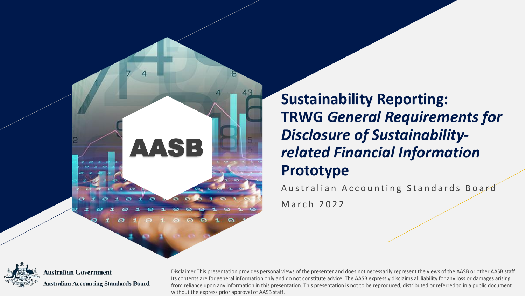

**Sustainability Reporting: TRWG** *General Requirements for Disclosure of Sustainabilityrelated Financial Information* **Prototype**

Australian Accounting Standards Board March 2022



**Australian Government Australian Accounting Standards Board** 

Disclaimer This presentation provides personal views of the presenter and does not necessarily represent the views of the AASB or other AASB staff. Its contents are for general information only and do not constitute advice. The AASB expressly disclaims all liability for any loss or damages arising from reliance upon any information in this presentation. This presentation is not to be reproduced, distributed or referred to in a public document without the express prior approval of AASB staff.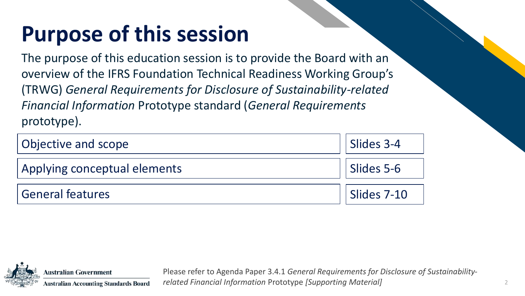# **Purpose of this session**

The purpose of this education session is to provide the Board with an overview of the IFRS Foundation Technical Readiness Working Group's (TRWG) *General Requirements for Disclosure of Sustainability-related Financial Information* Prototype standard (*General Requirements*  prototype).

| Objective and scope          | Slides 3-4  |
|------------------------------|-------------|
| Applying conceptual elements | Slides 5-6  |
| <b>General features</b>      | Slides 7-10 |



**Australian Government Australian Accounting Standards Board**  Please refer to Agenda Paper 3.4.1 *General Requirements for Disclosure of Sustainabilityrelated Financial Information* Prototype *[Supporting Material]*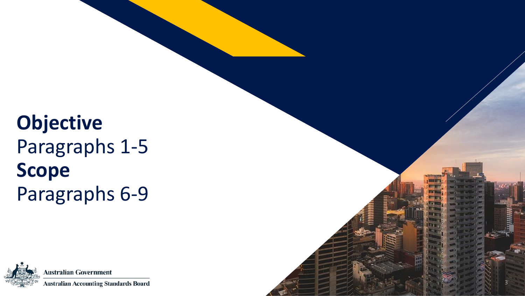## **Objective** Paragraphs 1-5 **Scope** Paragraphs 6-9



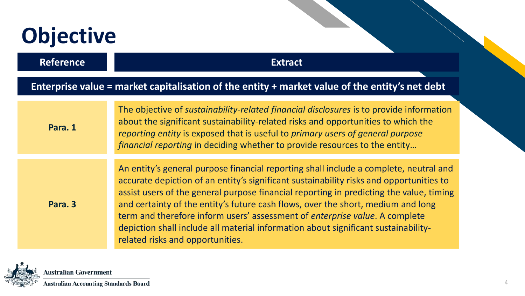# **Objective**

**Reference Extract**

#### **Enterprise value = market capitalisation of the entity + market value of the entity's net debt**

| Para. 1 | The objective of sustainability-related financial disclosures is to provide information<br>about the significant sustainability-related risks and opportunities to which the<br>reporting entity is exposed that is useful to primary users of general purpose<br>financial reporting in deciding whether to provide resources to the entity                                                                                                                                                                                                                             |
|---------|--------------------------------------------------------------------------------------------------------------------------------------------------------------------------------------------------------------------------------------------------------------------------------------------------------------------------------------------------------------------------------------------------------------------------------------------------------------------------------------------------------------------------------------------------------------------------|
|         |                                                                                                                                                                                                                                                                                                                                                                                                                                                                                                                                                                          |
| Para. 3 | An entity's general purpose financial reporting shall include a complete, neutral and<br>accurate depiction of an entity's significant sustainability risks and opportunities to<br>assist users of the general purpose financial reporting in predicting the value, timing<br>and certainty of the entity's future cash flows, over the short, medium and long<br>term and therefore inform users' assessment of enterprise value. A complete<br>depiction shall include all material information about significant sustainability-<br>related risks and opportunities. |

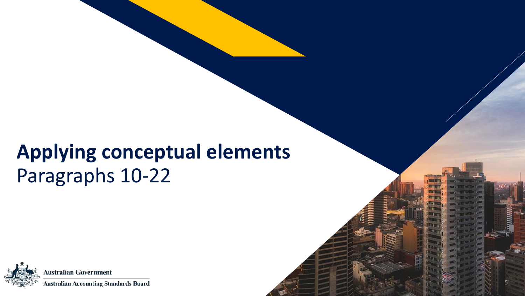### **Applying conceptual elements** Paragraphs 10-22

5

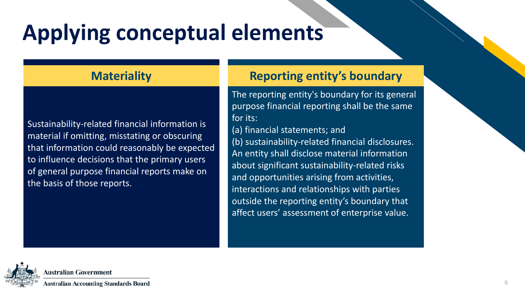# **Applying conceptual elements**

Sustainability-related financial information is material if omitting, misstating or obscuring that information could reasonably be expected to influence decisions that the primary users of general purpose financial reports make on the basis of those reports.

#### **Materiality Reporting entity's boundary**

The reporting entity's boundary for its general purpose financial reporting shall be the same for its:

(a) financial statements; and (b) sustainability-related financial disclosures. An entity shall disclose material information about significant sustainability-related risks and opportunities arising from activities, interactions and relationships with parties outside the reporting entity's boundary that affect users' assessment of enterprise value.

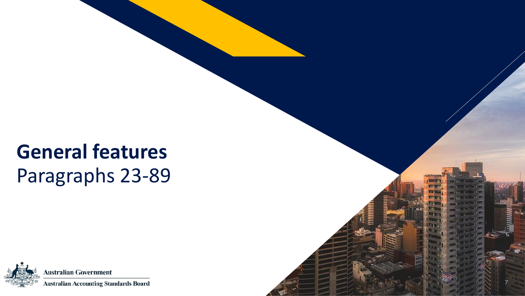## **General features** Paragraphs 23-89



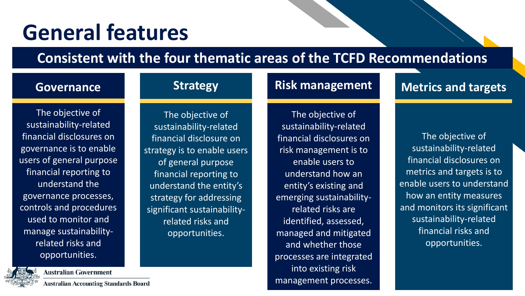# **General features**

### **Consistent with the four thematic areas of the TCFD Recommendations**

#### **Governance**

The objective of sustainability-related financial disclosures on governance is to enable users of general purpose financial reporting to understand the governance processes, controls and procedures used to monitor and manage sustainabilityrelated risks and opportunities.



**Strategy**

strategy is to enable users of general purpose financial reporting to understand the entity's strategy for addressing significant sustainabilityrelated risks and opportunities.

#### **Risk management**

#### The objective of sustainability-related financial disclosures on risk management is to enable users to understand how an entity's existing and emerging sustainabilityrelated risks are identified, assessed, managed and mitigated and whether those processes are integrated into existing risk management processes.

#### **Metrics and targets**

The objective of sustainability-related financial disclosures on metrics and targets is to enable users to understand how an entity measures and monitors its significant sustainability-related financial risks and opportunities.



**Australian Government** 

**Australian Accounting Standards Board**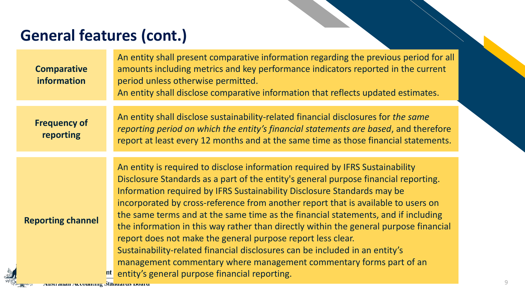### **General features (cont.)**

| <b>Comparative</b><br>information | An entity shall present comparative information regarding the previous period for all<br>amounts including metrics and key performance indicators reported in the current<br>period unless otherwise permitted.<br>An entity shall disclose comparative information that reflects updated estimates.                                                                                                                                                                                                                                                                                                                                                                                                                                                                                       |
|-----------------------------------|--------------------------------------------------------------------------------------------------------------------------------------------------------------------------------------------------------------------------------------------------------------------------------------------------------------------------------------------------------------------------------------------------------------------------------------------------------------------------------------------------------------------------------------------------------------------------------------------------------------------------------------------------------------------------------------------------------------------------------------------------------------------------------------------|
| <b>Frequency of</b><br>reporting  | An entity shall disclose sustainability-related financial disclosures for the same<br>reporting period on which the entity's financial statements are based, and therefore<br>report at least every 12 months and at the same time as those financial statements.                                                                                                                                                                                                                                                                                                                                                                                                                                                                                                                          |
| <b>Reporting channel</b>          | An entity is required to disclose information required by IFRS Sustainability<br>Disclosure Standards as a part of the entity's general purpose financial reporting.<br>Information required by IFRS Sustainability Disclosure Standards may be<br>incorporated by cross-reference from another report that is available to users on<br>the same terms and at the same time as the financial statements, and if including<br>the information in this way rather than directly within the general purpose financial<br>report does not make the general purpose report less clear.<br>Sustainability-related financial disclosures can be included in an entity's<br>management commentary where management commentary forms part of an<br>nt entity's general purpose financial reporting. |

**A**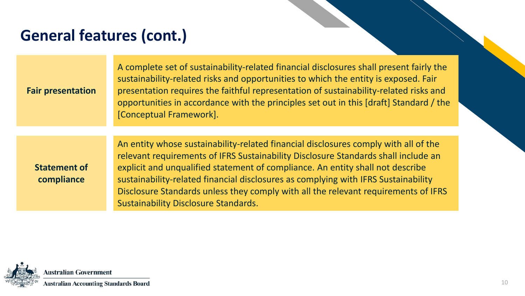### **General features (cont.)**

| <b>Fair presentation</b>          | A complete set of sustainability-related financial disclosures shall present fairly the<br>sustainability-related risks and opportunities to which the entity is exposed. Fair<br>presentation requires the faithful representation of sustainability-related risks and<br>opportunities in accordance with the principles set out in this [draft] Standard / the<br>[Conceptual Framework].                                                                                           |
|-----------------------------------|----------------------------------------------------------------------------------------------------------------------------------------------------------------------------------------------------------------------------------------------------------------------------------------------------------------------------------------------------------------------------------------------------------------------------------------------------------------------------------------|
|                                   |                                                                                                                                                                                                                                                                                                                                                                                                                                                                                        |
| <b>Statement of</b><br>compliance | An entity whose sustainability-related financial disclosures comply with all of the<br>relevant requirements of IFRS Sustainability Disclosure Standards shall include an<br>explicit and unqualified statement of compliance. An entity shall not describe<br>sustainability-related financial disclosures as complying with IFRS Sustainability<br>Disclosure Standards unless they comply with all the relevant requirements of IFRS<br><b>Sustainability Disclosure Standards.</b> |